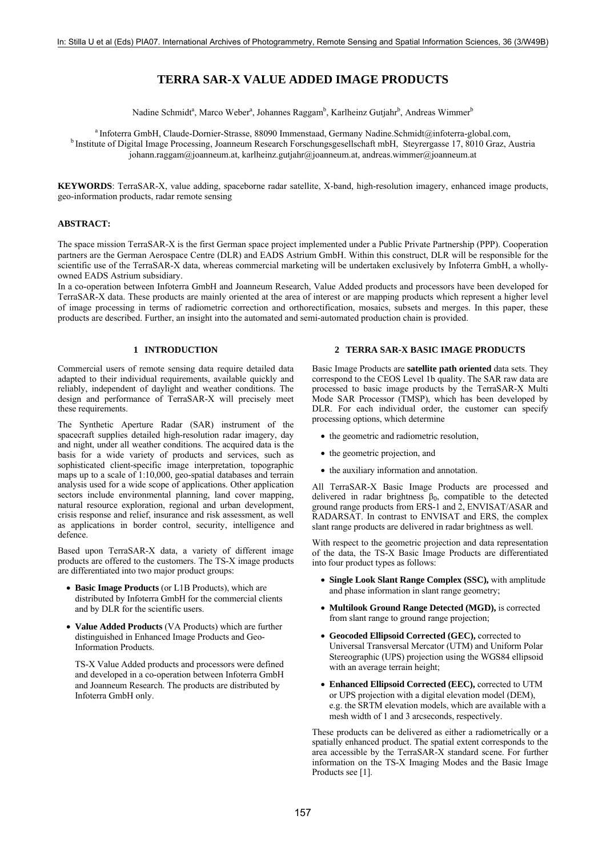# **TERRA SAR-X VALUE ADDED IMAGE PRODUCTS**

Nadine Schmidt<sup>a</sup>, Marco Weber<sup>a</sup>, Johannes Raggam<sup>b</sup>, Karlheinz Gutjahr<sup>b</sup>, Andreas Wimmer<sup>b</sup>

<sup>a</sup> Infoterra GmbH, Claude-Dornier-Strasse, 88090 Immenstaad, Germany Nadine.Schmidt@infoterra-global.com,<br><sup>b</sup> Institute of Digital Image Processing, Joanneum Research Forschungsgesellschaft mbH, Steyrergasse 17, 8010 Graz [johann.raggam@joanneum.at](mailto:johann.raggam@joanneum.at), [karlheinz.gutjahr@joanneum.at,](mailto:karlheinz.gutjahr@joanneum.at) [andreas.wimmer@joanneum.at](mailto:andreas.wimmer@joanneum.at)

**KEYWORDS**: TerraSAR-X, value adding, spaceborne radar satellite, X-band, high-resolution imagery, enhanced image products, geo-information products, radar remote sensing

### **ABSTRACT:**

The space mission TerraSAR-X is the first German space project implemented under a Public Private Partnership (PPP). Cooperation partners are the German Aerospace Centre (DLR) and EADS Astrium GmbH. Within this construct, DLR will be responsible for the scientific use of the TerraSAR-X data, whereas commercial marketing will be undertaken exclusively by Infoterra GmbH, a whollyowned EADS Astrium subsidiary.

In a co-operation between Infoterra GmbH and Joanneum Research, Value Added products and processors have been developed for TerraSAR-X data. These products are mainly oriented at the area of interest or are mapping products which represent a higher level of image processing in terms of radiometric correction and orthorectification, mosaics, subsets and merges. In this paper, these products are described. Further, an insight into the automated and semi-automated production chain is provided.

### **1 INTRODUCTION**

Commercial users of remote sensing data require detailed data adapted to their individual requirements, available quickly and reliably, independent of daylight and weather conditions. The design and performance of TerraSAR-X will precisely meet these requirements.

The Synthetic Aperture Radar (SAR) instrument of the spacecraft supplies detailed high-resolution radar imagery, day and night, under all weather conditions. The acquired data is the basis for a wide variety of products and services, such as sophisticated client-specific image interpretation, topographic maps up to a scale of 1:10,000, geo-spatial databases and terrain analysis used for a wide scope of applications. Other application sectors include environmental planning, land cover mapping, natural resource exploration, regional and urban development, crisis response and relief, insurance and risk assessment, as well as applications in border control, security, intelligence and defence.

Based upon TerraSAR-X data, a variety of different image products are offered to the customers. The TS-X image products are differentiated into two major product groups:

- **Basic Image Products** (or L1B Products), which are distributed by Infoterra GmbH for the commercial clients and by DLR for the scientific users.
- **Value Added Products** (VA Products) which are further distinguished in Enhanced Image Products and Geo-Information Products.

TS-X Value Added products and processors were defined and developed in a co-operation between Infoterra GmbH and Joanneum Research. The products are distributed by Infoterra GmbH only.

#### **2 TERRA SAR-X BASIC IMAGE PRODUCTS**

Basic Image Products are **satellite path oriented** data sets. They correspond to the CEOS Level 1b quality. The SAR raw data are processed to basic image products by the TerraSAR-X Multi Mode SAR Processor (TMSP), which has been developed by DLR. For each individual order, the customer can specify processing options, which determine

- the geometric and radiometric resolution,
- the geometric projection, and
- the auxiliary information and annotation.

All TerraSAR-X Basic Image Products are processed and delivered in radar brightness  $\beta_0$ , compatible to the detected ground range products from ERS-1 and 2, ENVISAT/ASAR and RADARSAT. In contrast to ENVISAT and ERS, the complex slant range products are delivered in radar brightness as well.

With respect to the geometric projection and data representation of the data, the TS-X Basic Image Products are differentiated into four product types as follows:

- **Single Look Slant Range Complex (SSC),** with amplitude and phase information in slant range geometry;
- **Multilook Ground Range Detected (MGD),** is corrected from slant range to ground range projection;
- **Geocoded Ellipsoid Corrected (GEC),** corrected to Universal Transversal Mercator (UTM) and Uniform Polar Stereographic (UPS) projection using the WGS84 ellipsoid with an average terrain height;
- **Enhanced Ellipsoid Corrected (EEC),** corrected to UTM or UPS projection with a digital elevation model (DEM), e.g. the SRTM elevation models, which are available with a mesh width of 1 and 3 arcseconds, respectively.

These products can be delivered as either a radiometrically or a spatially enhanced product. The spatial extent corresponds to the area accessible by the TerraSAR-X standard scene. For further information on the TS-X Imaging Modes and the Basic Image Products see [1].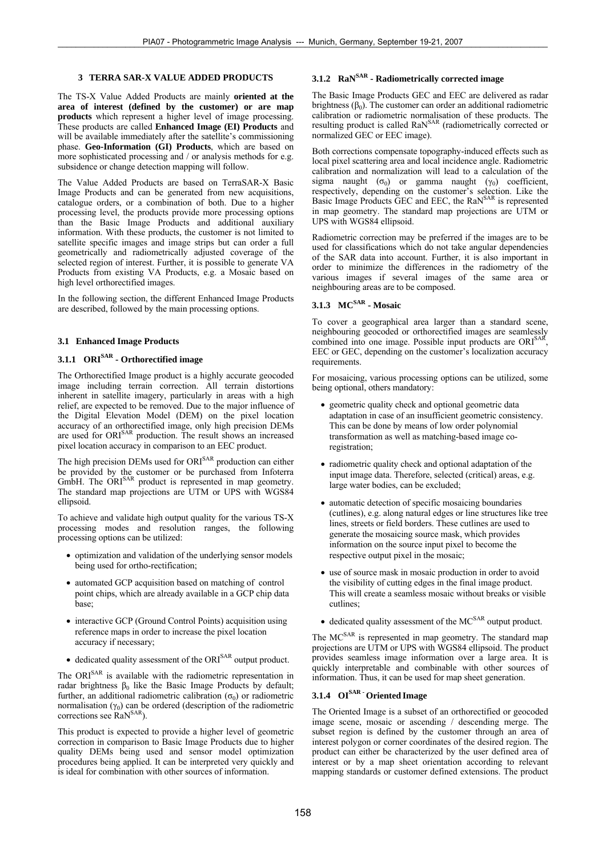## **3 TERRA SAR-X VALUE ADDED PRODUCTS**

The TS-X Value Added Products are mainly **oriented at the area of interest (defined by the customer) or are map products** which represent a higher level of image processing. These products are called **Enhanced Image (EI) Products** and will be available immediately after the satellite's commissioning phase. **Geo-Information (GI) Products**, which are based on more sophisticated processing and / or analysis methods for e.g. subsidence or change detection mapping will follow.

The Value Added Products are based on TerraSAR-X Basic Image Products and can be generated from new acquisitions, catalogue orders, or a combination of both. Due to a higher processing level, the products provide more processing options than the Basic Image Products and additional auxiliary information. With these products, the customer is not limited to satellite specific images and image strips but can order a full geometrically and radiometrically adjusted coverage of the selected region of interest. Further, it is possible to generate VA Products from existing VA Products, e.g. a Mosaic based on high level orthorectified images.

In the following section, the different Enhanced Image Products are described, followed by the main processing options.

#### **3.1 Enhanced Image Products**

# **3.1.1 ORISAR - Orthorectified image**

The Orthorectified Image product is a highly accurate geocoded image including terrain correction. All terrain distortions inherent in satellite imagery, particularly in areas with a high relief, are expected to be removed. Due to the major influence of the Digital Elevation Model (DEM) on the pixel location accuracy of an orthorectified image, only high precision DEMs are used for ORI<sup>SAR</sup> production. The result shows an increased pixel location accuracy in comparison to an EEC product.

The high precision DEMs used for ORI<sup>SAR</sup> production can either be provided by the customer or be purchased from Infoterra GmbH. The ORI<sup>SAR</sup> product is represented in map geometry. The standard map projections are UTM or UPS with WGS84 ellipsoid.

To achieve and validate high output quality for the various TS-X processing modes and resolution ranges, the following processing options can be utilized:

- optimization and validation of the underlying sensor models being used for ortho-rectification;
- automated GCP acquisition based on matching of control point chips, which are already available in a GCP chip data base;
- interactive GCP (Ground Control Points) acquisition using reference maps in order to increase the pixel location accuracy if necessary;
- dedicated quality assessment of the ORI<sup>SAR</sup> output product.

The ORI<sup>SAR</sup> is available with the radiometric representation in radar brightness  $β_0$  like the Basic Image Products by default; further, an additional radiometric calibration ( $\sigma$ <sub>0</sub>) or radiometric normalisation  $(\gamma_0)$  can be ordered (description of the radiometric corrections see RaN<sup>SAR</sup>).

This product is expected to provide a higher level of geometric correction in comparison to Basic Image Products due to higher quality DEMs being used and sensor model optimization procedures being applied. It can be interpreted very quickly and is ideal for combination with other sources of information.

# **3.1.2 RaNSAR - Radiometrically corrected image**

The Basic Image Products GEC and EEC are delivered as radar brightness  $(\beta_0)$ . The customer can order an additional radiometric calibration or radiometric normalisation of these products. The resulting product is called RaN<sup>SAR</sup> (radiometrically corrected or normalized GEC or EEC image).

Both corrections compensate topography-induced effects such as local pixel scattering area and local incidence angle. Radiometric calibration and normalization will lead to a calculation of the sigma naught ( $\sigma_0$ ) or gamma naught ( $\gamma_0$ ) coefficient, respectively, depending on the customer's selection. Like the Basic Image Products GEC and EEC, the RaN<sup>SAR</sup> is represented in map geometry. The standard map projections are UTM or UPS with WGS84 ellipsoid.

Radiometric correction may be preferred if the images are to be used for classifications which do not take angular dependencies of the SAR data into account. Further, it is also important in order to minimize the differences in the radiometry of the various images if several images of the same area or neighbouring areas are to be composed.

# **3.1.3 MCSAR - Mosaic**

To cover a geographical area larger than a standard scene, neighbouring geocoded or orthorectified images are seamlessly combined into one image. Possible input products are ORI<sup>SAR</sup>, EEC or GEC, depending on the customer's localization accuracy requirements.

For mosaicing, various processing options can be utilized, some being optional, others mandatory:

- geometric quality check and optional geometric data adaptation in case of an insufficient geometric consistency. This can be done by means of low order polynomial transformation as well as matching-based image coregistration;
- radiometric quality check and optional adaptation of the input image data. Therefore, selected (critical) areas, e.g. large water bodies, can be excluded;
- automatic detection of specific mosaicing boundaries (cutlines), e.g. along natural edges or line structures like tree lines, streets or field borders. These cutlines are used to generate the mosaicing source mask, which provides information on the source input pixel to become the respective output pixel in the mosaic;
- use of source mask in mosaic production in order to avoid the visibility of cutting edges in the final image product. This will create a seamless mosaic without breaks or visible cutlines;
- $\bullet$  dedicated quality assessment of the MC<sup>SAR</sup> output product.

The MC<sup>SAR</sup> is represented in map geometry. The standard map projections are UTM or UPS with WGS84 ellipsoid. The product provides seamless image information over a large area. It is quickly interpretable and combinable with other sources of information. Thus, it can be used for map sheet generation.

# **3.1.4 OISAR - Oriented Image**

The Oriented Image is a subset of an orthorectified or geocoded image scene, mosaic or ascending / descending merge. The subset region is defined by the customer through an area of interest polygon or corner coordinates of the desired region. The product can either be characterized by the user defined area of interest or by a map sheet orientation according to relevant mapping standards or customer defined extensions. The product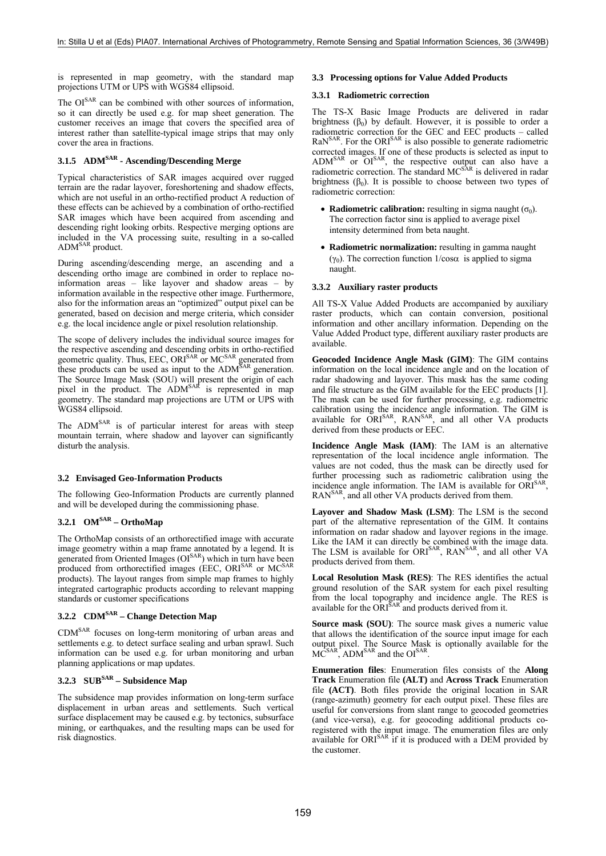is represented in map geometry, with the standard map projections UTM or UPS with WGS84 ellipsoid.

The OI<sup>SAR</sup> can be combined with other sources of information, so it can directly be used e.g. for map sheet generation. The customer receives an image that covers the specified area of interest rather than satellite-typical image strips that may only cover the area in fractions.

## **3.1.5 ADMSAR - Ascending/Descending Merge**

Typical characteristics of SAR images acquired over rugged terrain are the radar layover, foreshortening and shadow effects, which are not useful in an ortho-rectified product A reduction of these effects can be achieved by a combination of ortho-rectified SAR images which have been acquired from ascending and descending right looking orbits. Respective merging options are included in the VA processing suite, resulting in a so-called ADM<sup>SAR</sup> product.

During ascending/descending merge, an ascending and a descending ortho image are combined in order to replace noinformation areas – like layover and shadow areas – by information available in the respective other image. Furthermore, also for the information areas an "optimized" output pixel can be generated, based on decision and merge criteria, which consider e.g. the local incidence angle or pixel resolution relationship.

The scope of delivery includes the individual source images for the respective ascending and descending orbits in ortho-rectified geometric quality. Thus, EEC, ORI<sup>SAR</sup> or MC<sup>SAR</sup> generated from these products can be used as input to the ADM<sup>SAR</sup> generation. The Source Image Mask (SOU) will present the origin of each pixel in the product. The ADM<sup>SAR</sup> is represented in map geometry. The standard map projections are UTM or UPS with WGS84 ellipsoid.

The ADM<sup>SAR</sup> is of particular interest for areas with steep mountain terrain, where shadow and layover can significantly disturb the analysis.

#### **3.2 Envisaged Geo-Information Products**

The following Geo-Information Products are currently planned and will be developed during the commissioning phase.

# **3.2.1 OMSAR – OrthoMap**

The OrthoMap consists of an orthorectified image with accurate image geometry within a map frame annotated by a legend. It is generated from Oriented Images (OI<sup>SAR</sup>) which in turn have been produced from orthorectified images (EEC, ORI<sup>SAR</sup> or MC<sup>SAR</sup> products). The layout ranges from simple map frames to highly integrated cartographic products according to relevant mapping standards or customer specifications

## **3.2.2 CDMSAR – Change Detection Map**

CDMSAR focuses on long-term monitoring of urban areas and settlements e.g. to detect surface sealing and urban sprawl. Such information can be used e.g. for urban monitoring and urban planning applications or map updates.

## **3.2.3 SUBSAR – Subsidence Map**

The subsidence map provides information on long-term surface displacement in urban areas and settlements. Such vertical surface displacement may be caused e.g. by tectonics, subsurface mining, or earthquakes, and the resulting maps can be used for risk diagnostics.

## **3.3 Processing options for Value Added Products**

#### **3.3.1 Radiometric correction**

The TS-X Basic Image Products are delivered in radar brightness  $(\beta_0)$  by default. However, it is possible to order a radiometric correction for the GEC and EEC products – called RaN<sup>SAR</sup>. For the ORI<sup>SAR</sup> is also possible to generate radiometric corrected images. If one of these products is selected as input to  $\text{ADM}^{\text{SAR}}$  or  $\text{OI}^{\text{SAR}}$ , the respective output can also have a radiometric correction. The standard  $MC^{SAR}$  is delivered in radar brightness  $(\beta_0)$ . It is possible to choose between two types of radiometric correction:

- **Radiometric calibration:** resulting in sigma naught  $(\sigma_0)$ . The correction factor sinα is applied to average pixel intensity determined from beta naught.
- **Radiometric normalization:** resulting in gamma naught (γ<sub>0</sub>). The correction function  $1/cosα$  is applied to sigma naught.

#### **3.3.2 Auxiliary raster products**

All TS-X Value Added Products are accompanied by auxiliary raster products, which can contain conversion, positional information and other ancillary information. Depending on the Value Added Product type, different auxiliary raster products are available.

**Geocoded Incidence Angle Mask (GIM)**: The GIM contains information on the local incidence angle and on the location of radar shadowing and layover. This mask has the same coding and file structure as the GIM available for the EEC products [1]. The mask can be used for further processing, e.g. radiometric calibration using the incidence angle information. The GIM is available for ORI<sup>SAR</sup>, RAN<sup>SAR</sup>, and all other VA products derived from these products or EEC.

**Incidence Angle Mask (IAM)**: The IAM is an alternative representation of the local incidence angle information. The values are not coded, thus the mask can be directly used for further processing such as radiometric calibration using the incidence angle information. The IAM is available for ORI<sup>SAR</sup> RAN<sup>SAR</sup>, and all other VA products derived from them.

**Layover and Shadow Mask (LSM)**: The LSM is the second part of the alternative representation of the GIM. It contains information on radar shadow and layover regions in the image. Like the IAM it can directly be combined with the image data. The LSM is available for ORI<sup>SAR</sup>, RAN<sup>SAR</sup>, and all other VA products derived from them.

**Local Resolution Mask (RES)**: The RES identifies the actual ground resolution of the SAR system for each pixel resulting from the local topography and incidence angle. The RES is available for the  $\overrightarrow{ORI}^{SAR}$  and products derived from it.

**Source mask (SOU)**: The source mask gives a numeric value that allows the identification of the source input image for each output pixel. The Source Mask is optionally available for the  $MC<sup>SAR</sup>$ , ADM<sup>SAR</sup> and the OI<sup>SAR</sup>.

**Enumeration files**: Enumeration files consists of the **Along Track** Enumeration file **(ALT)** and **Across Track** Enumeration file **(ACT)**. Both files provide the original location in SAR (range-azimuth) geometry for each output pixel. These files are useful for conversions from slant range to geocoded geometries (and vice-versa), e.g. for geocoding additional products coregistered with the input image. The enumeration files are only available for ORI<sup>SAR</sup> if it is produced with a DEM provided by the customer.